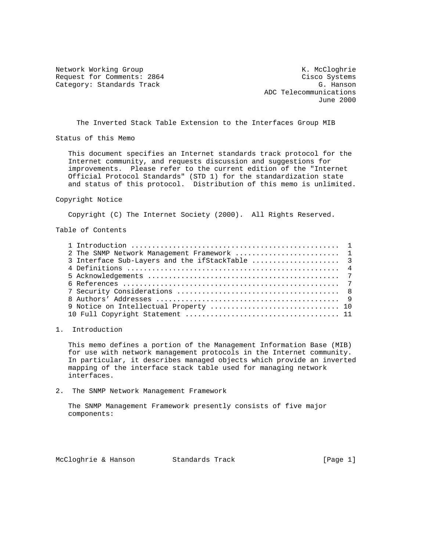Network Working Group Network Working Group Network Working Group Request for Comments: 2864 Cisco Systems Category: Standards Track G. Hanson G. Hanson

 ADC Telecommunications June 2000

The Inverted Stack Table Extension to the Interfaces Group MIB

Status of this Memo

 This document specifies an Internet standards track protocol for the Internet community, and requests discussion and suggestions for improvements. Please refer to the current edition of the "Internet Official Protocol Standards" (STD 1) for the standardization state and status of this protocol. Distribution of this memo is unlimited.

Copyright Notice

Copyright (C) The Internet Society (2000). All Rights Reserved.

Table of Contents

| 2 The SNMP Network Management Framework  1     |  |
|------------------------------------------------|--|
| 3 Interface Sub-Layers and the ifStackTable  3 |  |
|                                                |  |
|                                                |  |
|                                                |  |
|                                                |  |
|                                                |  |
|                                                |  |
|                                                |  |

1. Introduction

 This memo defines a portion of the Management Information Base (MIB) for use with network management protocols in the Internet community. In particular, it describes managed objects which provide an inverted mapping of the interface stack table used for managing network interfaces.

2. The SNMP Network Management Framework

 The SNMP Management Framework presently consists of five major components:

McCloghrie & Hanson Standards Track [Page 1]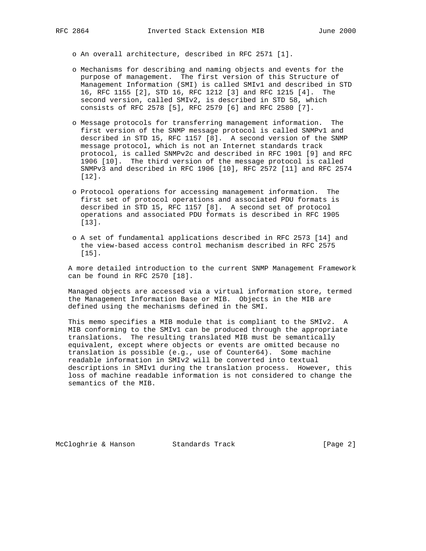o An overall architecture, described in RFC 2571 [1].

- o Mechanisms for describing and naming objects and events for the purpose of management. The first version of this Structure of Management Information (SMI) is called SMIv1 and described in STD 16, RFC 1155 [2], STD 16, RFC 1212 [3] and RFC 1215 [4]. The second version, called SMIv2, is described in STD 58, which consists of RFC 2578 [5], RFC 2579 [6] and RFC 2580 [7].
- o Message protocols for transferring management information. The first version of the SNMP message protocol is called SNMPv1 and described in STD 15, RFC 1157 [8]. A second version of the SNMP message protocol, which is not an Internet standards track protocol, is called SNMPv2c and described in RFC 1901 [9] and RFC 1906 [10]. The third version of the message protocol is called SNMPv3 and described in RFC 1906 [10], RFC 2572 [11] and RFC 2574 [12].
- o Protocol operations for accessing management information. The first set of protocol operations and associated PDU formats is described in STD 15, RFC 1157 [8]. A second set of protocol operations and associated PDU formats is described in RFC 1905 [13].
- o A set of fundamental applications described in RFC 2573 [14] and the view-based access control mechanism described in RFC 2575 [15].

 A more detailed introduction to the current SNMP Management Framework can be found in RFC 2570 [18].

 Managed objects are accessed via a virtual information store, termed the Management Information Base or MIB. Objects in the MIB are defined using the mechanisms defined in the SMI.

 This memo specifies a MIB module that is compliant to the SMIv2. A MIB conforming to the SMIv1 can be produced through the appropriate translations. The resulting translated MIB must be semantically equivalent, except where objects or events are omitted because no translation is possible (e.g., use of Counter64). Some machine readable information in SMIv2 will be converted into textual descriptions in SMIv1 during the translation process. However, this loss of machine readable information is not considered to change the semantics of the MIB.

McCloghrie & Hanson Standards Track [Page 2]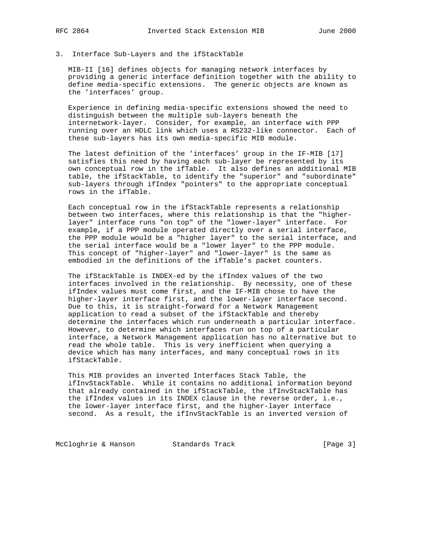## 3. Interface Sub-Layers and the ifStackTable

 MIB-II [16] defines objects for managing network interfaces by providing a generic interface definition together with the ability to define media-specific extensions. The generic objects are known as the 'interfaces' group.

 Experience in defining media-specific extensions showed the need to distinguish between the multiple sub-layers beneath the internetwork-layer. Consider, for example, an interface with PPP running over an HDLC link which uses a RS232-like connector. Each of these sub-layers has its own media-specific MIB module.

 The latest definition of the 'interfaces' group in the IF-MIB [17] satisfies this need by having each sub-layer be represented by its own conceptual row in the ifTable. It also defines an additional MIB table, the ifStackTable, to identify the "superior" and "subordinate" sub-layers through ifIndex "pointers" to the appropriate conceptual rows in the ifTable.

 Each conceptual row in the ifStackTable represents a relationship between two interfaces, where this relationship is that the "higher layer" interface runs "on top" of the "lower-layer" interface. For example, if a PPP module operated directly over a serial interface, the PPP module would be a "higher layer" to the serial interface, and the serial interface would be a "lower layer" to the PPP module. This concept of "higher-layer" and "lower-layer" is the same as embodied in the definitions of the ifTable's packet counters.

 The ifStackTable is INDEX-ed by the ifIndex values of the two interfaces involved in the relationship. By necessity, one of these ifIndex values must come first, and the IF-MIB chose to have the higher-layer interface first, and the lower-layer interface second. Due to this, it is straight-forward for a Network Management application to read a subset of the ifStackTable and thereby determine the interfaces which run underneath a particular interface. However, to determine which interfaces run on top of a particular interface, a Network Management application has no alternative but to read the whole table. This is very inefficient when querying a device which has many interfaces, and many conceptual rows in its ifStackTable.

 This MIB provides an inverted Interfaces Stack Table, the ifInvStackTable. While it contains no additional information beyond that already contained in the ifStackTable, the ifInvStackTable has the ifIndex values in its INDEX clause in the reverse order, i.e., the lower-layer interface first, and the higher-layer interface second. As a result, the ifInvStackTable is an inverted version of

McCloghrie & Hanson Standards Track (Page 3)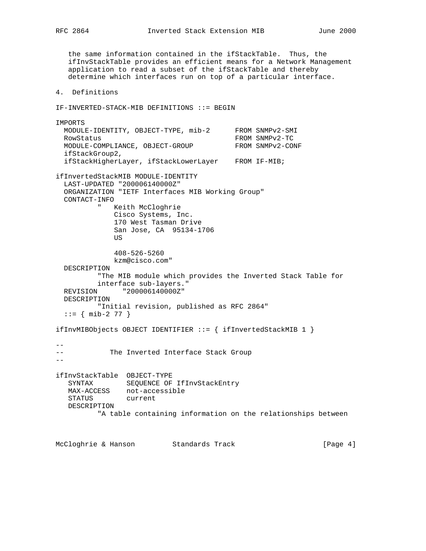the same information contained in the ifStackTable. Thus, the ifInvStackTable provides an efficient means for a Network Management application to read a subset of the ifStackTable and thereby determine which interfaces run on top of a particular interface.

4. Definitions

IF-INVERTED-STACK-MIB DEFINITIONS ::= BEGIN

IMPORTS MODULE-IDENTITY, OBJECT-TYPE, mib-2 FROM SNMPv2-SMI RowStatus FROM SNMPv2-TC<br>MODULE-COMPLIANCE, OBJECT-GROUP FROM SNMPv2-CONF MODULE-COMPLIANCE, OBJECT-GROUP ifStackGroup2, ifStackHigherLayer, ifStackLowerLayer FROM IF-MIB; ifInvertedStackMIB MODULE-IDENTITY LAST-UPDATED "200006140000Z" ORGANIZATION "IETF Interfaces MIB Working Group" CONTACT-INFO " Keith McCloghrie Cisco Systems, Inc. 170 West Tasman Drive San Jose, CA 95134-1706 US 408-526-5260 kzm@cisco.com" DESCRIPTION "The MIB module which provides the Inverted Stack Table for interface sub-layers." REVISION "200006140000Z" DESCRIPTION "Initial revision, published as RFC 2864"  $::=$  { mib-2 77 } ifInvMIBObjects OBJECT IDENTIFIER ::= { ifInvertedStackMIB 1 } -- -- The Inverted Interface Stack Group  $-$ ifInvStackTable OBJECT-TYPE SYNTAX SEQUENCE OF IfInvStackEntry MAX-ACCESS not-accessible STATUS current DESCRIPTION "A table containing information on the relationships between

McCloghrie & Hanson Standards Track [Page 4]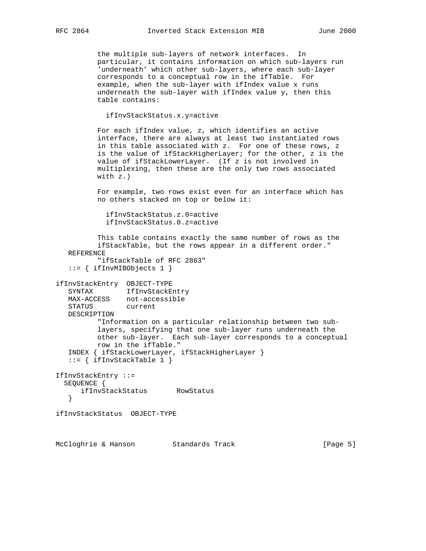the multiple sub-layers of network interfaces. In particular, it contains information on which sub-layers run 'underneath' which other sub-layers, where each sub-layer corresponds to a conceptual row in the ifTable. For example, when the sub-layer with ifIndex value x runs underneath the sub-layer with ifIndex value y, then this table contains:

ifInvStackStatus.x.y=active

 For each ifIndex value, z, which identifies an active interface, there are always at least two instantiated rows in this table associated with z. For one of these rows, z is the value of ifStackHigherLayer; for the other, z is the value of ifStackLowerLayer. (If z is not involved in multiplexing, then these are the only two rows associated with z.)

 For example, two rows exist even for an interface which has no others stacked on top or below it:

```
 ifInvStackStatus.z.0=active
ifInvStackStatus.0.z=active
```
 This table contains exactly the same number of rows as the ifStackTable, but the rows appear in a different order." REFERENCE "ifStackTable of RFC 2863"  $::=$  { ifInvMIBObjects 1 } ifInvStackEntry OBJECT-TYPE SYNTAX IfInvStackEntry MAX-ACCESS not-accessible STATUS current DESCRIPTION "Information on a particular relationship between two sub layers, specifying that one sub-layer runs underneath the other sub-layer. Each sub-layer corresponds to a conceptual row in the ifTable." INDEX { ifStackLowerLayer, ifStackHigherLayer }  $::=$  { ifInvStackTable 1 } IfInvStackEntry ::= SEQUENCE { ifInvStackStatus RowStatus } ifInvStackStatus OBJECT-TYPE

McCloghrie & Hanson Standards Track [Page 5]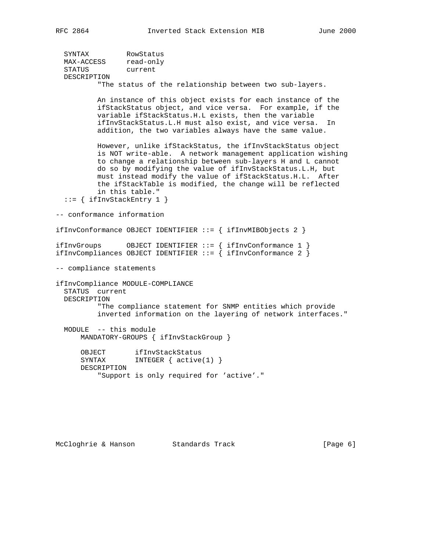| SYNTAX      | RowStatus |
|-------------|-----------|
| MAX-ACCESS  | read-only |
| STATUS      | current   |
| DESCRIPTION |           |
|             |           |

"The status of the relationship between two sub-layers.

 An instance of this object exists for each instance of the ifStackStatus object, and vice versa. For example, if the variable ifStackStatus.H.L exists, then the variable ifInvStackStatus.L.H must also exist, and vice versa. In addition, the two variables always have the same value.

 However, unlike ifStackStatus, the ifInvStackStatus object is NOT write-able. A network management application wishing to change a relationship between sub-layers H and L cannot do so by modifying the value of ifInvStackStatus.L.H, but must instead modify the value of ifStackStatus.H.L. After the ifStackTable is modified, the change will be reflected in this table."

```
::= { ifInvStackEntry 1 }
```
-- conformance information

ifInvConformance OBJECT IDENTIFIER ::= { ifInvMIBObjects 2 }

ifInvGroups OBJECT IDENTIFIER ::= { ifInvConformance 1 } <code>ifInvCompliances OBJECT IDENTIFIER ::= { ifInvConformance 2 }</code>

-- compliance statements

ifInvCompliance MODULE-COMPLIANCE STATUS current DESCRIPTION "The compliance statement for SNMP entities which provide inverted information on the layering of network interfaces."

 MODULE -- this module MANDATORY-GROUPS { ifInvStackGroup }

 OBJECT ifInvStackStatus SYNTAX INTEGER {  $active(1)$  } DESCRIPTION "Support is only required for 'active'."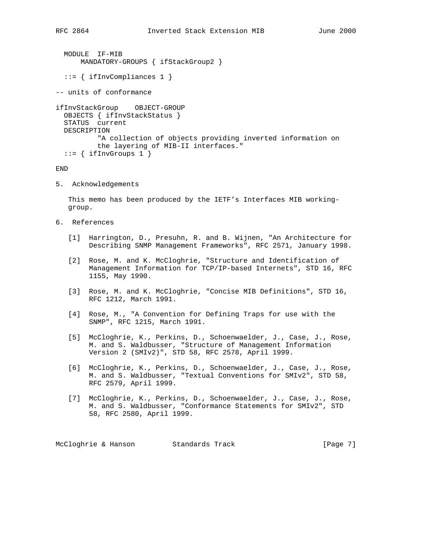```
 MODULE IF-MIB
    MANDATORY-GROUPS { ifStackGroup2 }
```
::= { ifInvCompliances 1 }

-- units of conformance

```
ifInvStackGroup OBJECT-GROUP
 OBJECTS { ifInvStackStatus }
  STATUS current
 DESCRIPTION
          "A collection of objects providing inverted information on
          the layering of MIB-II interfaces."
 ::= { ifInvGroups 1 }
```
END

5. Acknowledgements

 This memo has been produced by the IETF's Interfaces MIB working group.

- 6. References
	- [1] Harrington, D., Presuhn, R. and B. Wijnen, "An Architecture for Describing SNMP Management Frameworks", RFC 2571, January 1998.
	- [2] Rose, M. and K. McCloghrie, "Structure and Identification of Management Information for TCP/IP-based Internets", STD 16, RFC 1155, May 1990.
	- [3] Rose, M. and K. McCloghrie, "Concise MIB Definitions", STD 16, RFC 1212, March 1991.
	- [4] Rose, M., "A Convention for Defining Traps for use with the SNMP", RFC 1215, March 1991.
	- [5] McCloghrie, K., Perkins, D., Schoenwaelder, J., Case, J., Rose, M. and S. Waldbusser, "Structure of Management Information Version 2 (SMIv2)", STD 58, RFC 2578, April 1999.
	- [6] McCloghrie, K., Perkins, D., Schoenwaelder, J., Case, J., Rose, M. and S. Waldbusser, "Textual Conventions for SMIv2", STD 58, RFC 2579, April 1999.
	- [7] McCloghrie, K., Perkins, D., Schoenwaelder, J., Case, J., Rose, M. and S. Waldbusser, "Conformance Statements for SMIv2", STD 58, RFC 2580, April 1999.

McCloghrie & Hanson Standards Track [Page 7]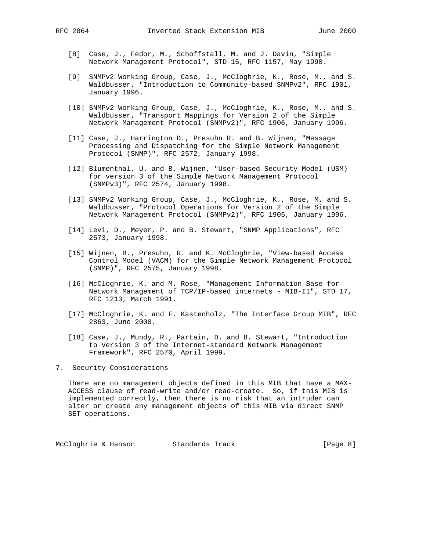- [8] Case, J., Fedor, M., Schoffstall, M. and J. Davin, "Simple Network Management Protocol", STD 15, RFC 1157, May 1990.
- [9] SNMPv2 Working Group, Case, J., McCloghrie, K., Rose, M., and S. Waldbusser, "Introduction to Community-based SNMPv2", RFC 1901, January 1996.
- [10] SNMPv2 Working Group, Case, J., McCloghrie, K., Rose, M., and S. Waldbusser, "Transport Mappings for Version 2 of the Simple Network Management Protocol (SNMPv2)", RFC 1906, January 1996.
- [11] Case, J., Harrington D., Presuhn R. and B. Wijnen, "Message Processing and Dispatching for the Simple Network Management Protocol (SNMP)", RFC 2572, January 1998.
- [12] Blumenthal, U. and B. Wijnen, "User-based Security Model (USM) for version 3 of the Simple Network Management Protocol (SNMPv3)", RFC 2574, January 1998.
- [13] SNMPv2 Working Group, Case, J., McCloghrie, K., Rose, M. and S. Waldbusser, "Protocol Operations for Version 2 of the Simple Network Management Protocol (SNMPv2)", RFC 1905, January 1996.
- [14] Levi, D., Meyer, P. and B. Stewart, "SNMP Applications", RFC 2573, January 1998.
- [15] Wijnen, B., Presuhn, R. and K. McCloghrie, "View-based Access Control Model (VACM) for the Simple Network Management Protocol (SNMP)", RFC 2575, January 1998.
- [16] McCloghrie, K. and M. Rose, "Management Information Base for Network Management of TCP/IP-based internets - MIB-II", STD 17, RFC 1213, March 1991.
- [17] McCloghrie, K. and F. Kastenholz, "The Interface Group MIB", RFC 2863, June 2000.
- [18] Case, J., Mundy, R., Partain, D. and B. Stewart, "Introduction to Version 3 of the Internet-standard Network Management Framework", RFC 2570, April 1999.
- 7. Security Considerations

 There are no management objects defined in this MIB that have a MAX- ACCESS clause of read-write and/or read-create. So, if this MIB is implemented correctly, then there is no risk that an intruder can alter or create any management objects of this MIB via direct SNMP SET operations.

McCloghrie & Hanson Standards Track [Page 8]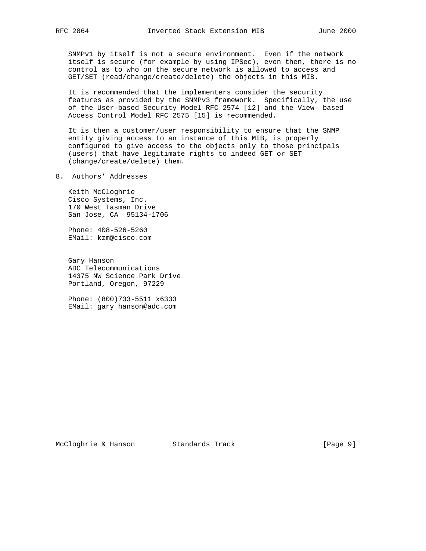SNMPv1 by itself is not a secure environment. Even if the network itself is secure (for example by using IPSec), even then, there is no control as to who on the secure network is allowed to access and GET/SET (read/change/create/delete) the objects in this MIB.

 It is recommended that the implementers consider the security features as provided by the SNMPv3 framework. Specifically, the use of the User-based Security Model RFC 2574 [12] and the View- based Access Control Model RFC 2575 [15] is recommended.

 It is then a customer/user responsibility to ensure that the SNMP entity giving access to an instance of this MIB, is properly configured to give access to the objects only to those principals (users) that have legitimate rights to indeed GET or SET (change/create/delete) them.

8. Authors' Addresses

 Keith McCloghrie Cisco Systems, Inc. 170 West Tasman Drive San Jose, CA 95134-1706

 Phone: 408-526-5260 EMail: kzm@cisco.com

 Gary Hanson ADC Telecommunications 14375 NW Science Park Drive Portland, Oregon, 97229

 Phone: (800)733-5511 x6333 EMail: gary\_hanson@adc.com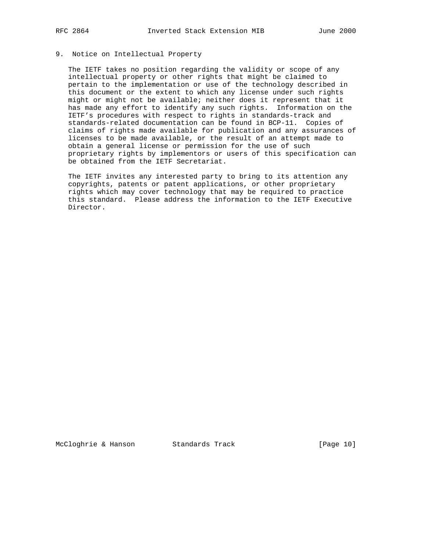## 9. Notice on Intellectual Property

 The IETF takes no position regarding the validity or scope of any intellectual property or other rights that might be claimed to pertain to the implementation or use of the technology described in this document or the extent to which any license under such rights might or might not be available; neither does it represent that it has made any effort to identify any such rights. Information on the IETF's procedures with respect to rights in standards-track and standards-related documentation can be found in BCP-11. Copies of claims of rights made available for publication and any assurances of licenses to be made available, or the result of an attempt made to obtain a general license or permission for the use of such proprietary rights by implementors or users of this specification can be obtained from the IETF Secretariat.

 The IETF invites any interested party to bring to its attention any copyrights, patents or patent applications, or other proprietary rights which may cover technology that may be required to practice this standard. Please address the information to the IETF Executive Director.